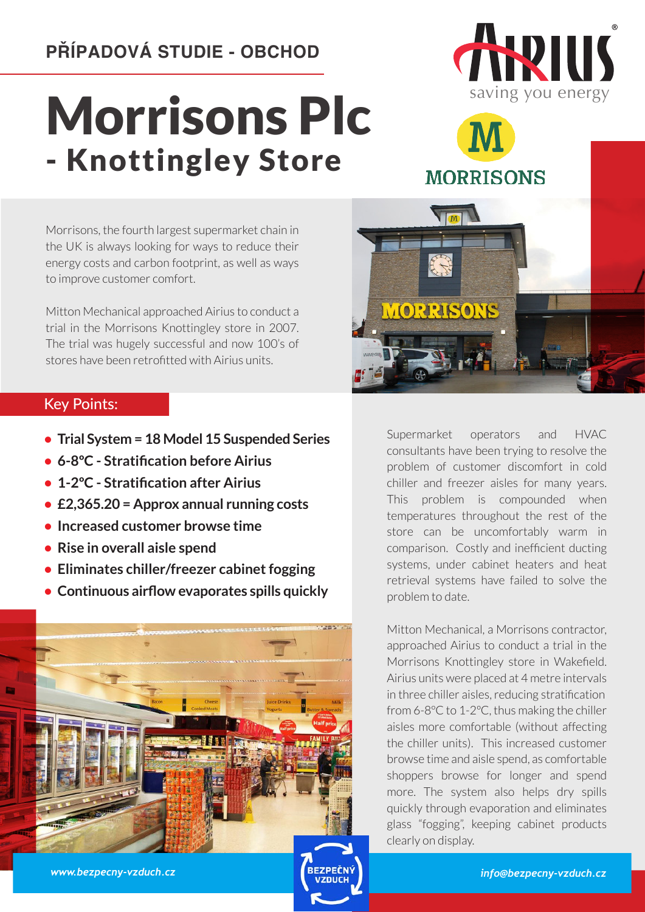## **PŘÍPADOVÁ STUDIE - OBCHOD**

## Morrisons Plc - Knottingley Store



## **MORRISONS**

Morrisons, the fourth largest supermarket chain in the UK is always looking for ways to reduce their energy costs and carbon footprint, as well as ways to improve customer comfort.

Mitton Mechanical approached Airius to conduct a trial in the Morrisons Knottingley store in 2007. The trial was hugely successful and now 100's of stores have been retrofitted with Airius units.

## Key Points:

- **• Trial System = 18 Model 15 Suspended Series**
- **• 6-8ºC Stratification before Airius**
- **• 1-2ºC Stratification after Airius**
- **• £2,365.20 = Approx annual running costs**
- **• Increased customer browse time**
- **• Rise in overall aisle spend**
- **• Eliminates chiller/freezer cabinet fogging**
- **• Continuous airflow evaporates spills quickly**





Supermarket operators and HVAC consultants have been trying to resolve the problem of customer discomfort in cold chiller and freezer aisles for many years. This problem is compounded when temperatures throughout the rest of the store can be uncomfortably warm in comparison. Costly and inefficient ducting systems, under cabinet heaters and heat retrieval systems have failed to solve the problem to date.

Mitton Mechanical, a Morrisons contractor, approached Airius to conduct a trial in the Morrisons Knottingley store in Wakefield. Airius units were placed at 4 metre intervals in three chiller aisles, reducing stratification from 6-8ºC to 1-2ºC, thus making the chiller aisles more comfortable (without affecting the chiller units). This increased customer browse time and aisle spend, as comfortable shoppers browse for longer and spend more. The system also helps dry spills quickly through evaporation and eliminates glass "fogging", keeping cabinet products clearly on display.